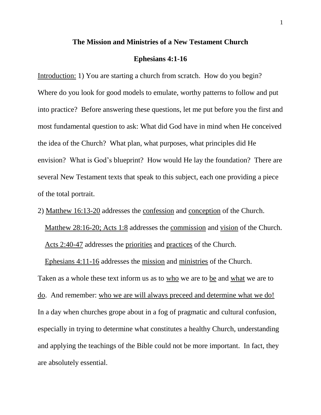#### **The Mission and Ministries of a New Testament Church**

### **Ephesians 4:1-16**

Introduction: 1) You are starting a church from scratch. How do you begin? Where do you look for good models to emulate, worthy patterns to follow and put into practice? Before answering these questions, let me put before you the first and most fundamental question to ask: What did God have in mind when He conceived the idea of the Church? What plan, what purposes, what principles did He envision? What is God's blueprint? How would He lay the foundation? There are several New Testament texts that speak to this subject, each one providing a piece of the total portrait.

2) Matthew 16:13-20 addresses the confession and conception of the Church.

Matthew 28:16-20; Acts 1:8 addresses the commission and vision of the Church. Acts 2:40-47 addresses the priorities and practices of the Church.

Ephesians 4:11-16 addresses the mission and ministries of the Church.

Taken as a whole these text inform us as to who we are to be and what we are to do. And remember: who we are will always preceed and determine what we do! In a day when churches grope about in a fog of pragmatic and cultural confusion, especially in trying to determine what constitutes a healthy Church, understanding and applying the teachings of the Bible could not be more important. In fact, they are absolutely essential.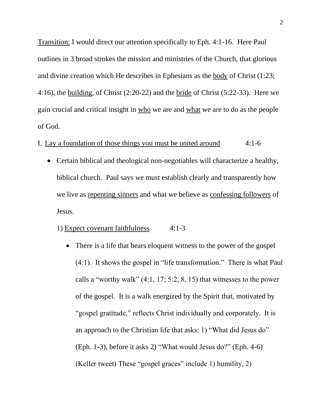Transition: I would direct our attention specifically to Eph. 4:1-16. Here Paul outlines in 3 broad strokes the mission and ministries of the Church, that glorious and divine creation which He describes in Ephesians as the body of Christ (1:23; 4:16), the building, of Christ (2:20-22) and the bride of Christ (5:22-33). Here we gain crucial and critical insight in who we are and what we are to do as the people of God.

# I. Lay a foundation of those things you must be united around 4:1-6

Certain biblical and theological non-negotiables will characterize a healthy, biblical church. Paul says we must establish clearly and transparently how we live as repenting sinners and what we believe as confessing followers of Jesus.

### 1) Expect covenant faithfulness 4:1-3

There is a life that bears eloquent witness to the power of the gospel  $\bullet$ (4:1). It shows the gospel in "life transformation." There is what Paul calls a "worthy walk"  $(4:1, 17; 5:2, 8, 15)$  that witnesses to the power of the gospel. It is a walk energized by the Spirit that, motivated by "gospel gratitude," reflects Christ individually and corporately. It is an approach to the Christian life that asks: 1) "What did Jesus do" (Eph. 1-3), before it asks 2) "What would Jesus do?" (Eph. 4-6) (Keller tweet) These "gospel graces" include 1) humility, 2)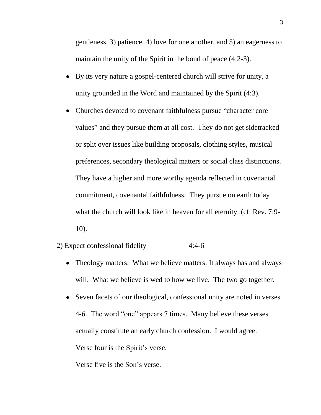gentleness, 3) patience, 4) love for one another, and 5) an eagerness to maintain the unity of the Spirit in the bond of peace (4:2-3).

- By its very nature a gospel-centered church will strive for unity, a unity grounded in the Word and maintained by the Spirit (4:3).
- Churches devoted to covenant faithfulness pursue "character core values" and they pursue them at all cost. They do not get sidetracked or split over issues like building proposals, clothing styles, musical preferences, secondary theological matters or social class distinctions. They have a higher and more worthy agenda reflected in covenantal commitment, covenantal faithfulness. They pursue on earth today what the church will look like in heaven for all eternity. (cf. Rev. 7:9- 10).

## 2) Expect confessional fidelity 4:4-6

- Theology matters. What we believe matters. It always has and always will. What we believe is wed to how we live. The two go together.
- Seven facets of our theological, confessional unity are noted in verses 4-6. The word "one" appears 7 times. Many believe these verses actually constitute an early church confession. I would agree. Verse four is the Spirit's verse.

Verse five is the Son's verse.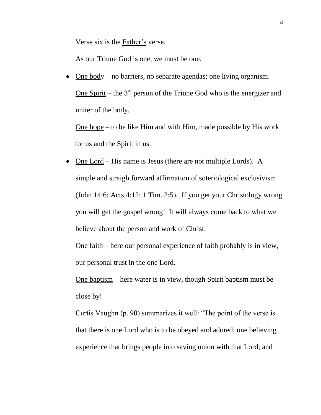Verse six is the Father's verse.

As our Triune God is one, we must be one.

One body – no barriers, no separate agendas; one living organism. One Spirit – the  $3<sup>rd</sup>$  person of the Triune God who is the energizer and uniter of the body.

One hope – to be like Him and with Him, made possible by His work for us and the Spirit in us.

• One Lord – His name is Jesus (there are not multiple Lords). A simple and straightforward affirmation of soteriological exclusivism (John 14:6; Acts 4:12; 1 Tim. 2:5). If you get your Christology wrong you will get the gospel wrong! It will always come back to what we believe about the person and work of Christ.

One faith – here our personal experience of faith probably is in view, our personal trust in the one Lord.

One baptism – here water is in view, though Spirit baptism must be close by!

Curtis Vaughn (p. 90) summarizes it well: "The point of the verse is that there is one Lord who is to be obeyed and adored; one believing experience that brings people into saving union with that Lord; and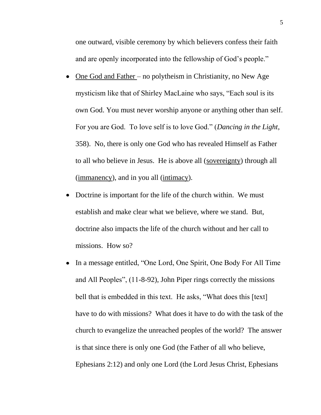one outward, visible ceremony by which believers confess their faith and are openly incorporated into the fellowship of God's people."

- One God and Father no polytheism in Christianity, no New Age mysticism like that of Shirley MacLaine who says, "Each soul is its own God. You must never worship anyone or anything other than self. For you are God. To love self is to love God." (*Dancing in the Light*, 358). No, there is only one God who has revealed Himself as Father to all who believe in Jesus. He is above all (sovereignty) through all (immanency), and in you all (intimacy).
- Doctrine is important for the life of the church within. We must establish and make clear what we believe, where we stand. But, doctrine also impacts the life of the church without and her call to missions. How so?
- In a message entitled, "One Lord, One Spirit, One Body For All Time and All Peoples", (11-8-92), John Piper rings correctly the missions bell that is embedded in this text. He asks, "What does this [text] have to do with missions? What does it have to do with the task of the church to evangelize the unreached peoples of the world? The answer is that since there is only one God (the Father of all who believe, Ephesians 2:12) and only one Lord (the Lord Jesus Christ, Ephesians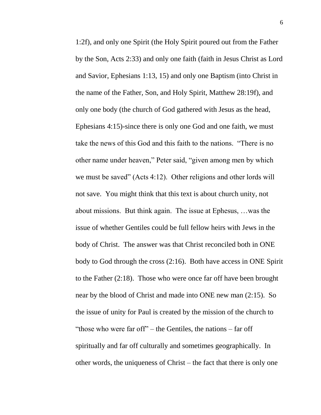1:2f), and only one Spirit (the Holy Spirit poured out from the Father by the Son, Acts 2:33) and only one faith (faith in Jesus Christ as Lord and Savior, Ephesians 1:13, 15) and only one Baptism (into Christ in the name of the Father, Son, and Holy Spirit, Matthew 28:19f), and only one body (the church of God gathered with Jesus as the head, Ephesians 4:15)-since there is only one God and one faith, we must take the news of this God and this faith to the nations. "There is no other name under heaven," Peter said, "given among men by which we must be saved" (Acts 4:12). Other religions and other lords will not save. You might think that this text is about church unity, not about missions. But think again. The issue at Ephesus, …was the issue of whether Gentiles could be full fellow heirs with Jews in the body of Christ. The answer was that Christ reconciled both in ONE body to God through the cross (2:16). Both have access in ONE Spirit to the Father (2:18). Those who were once far off have been brought near by the blood of Christ and made into ONE new man (2:15). So the issue of unity for Paul is created by the mission of the church to "those who were far off" – the Gentiles, the nations – far off spiritually and far off culturally and sometimes geographically. In other words, the uniqueness of Christ – the fact that there is only one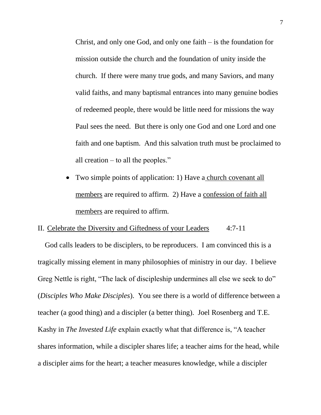Christ, and only one God, and only one faith – is the foundation for mission outside the church and the foundation of unity inside the church. If there were many true gods, and many Saviors, and many valid faiths, and many baptismal entrances into many genuine bodies of redeemed people, there would be little need for missions the way Paul sees the need. But there is only one God and one Lord and one faith and one baptism. And this salvation truth must be proclaimed to all creation – to all the peoples."

Two simple points of application: 1) Have a church covenant all  $\bullet$ members are required to affirm. 2) Have a confession of faith all members are required to affirm.

### II. Celebrate the Diversity and Giftedness of your Leaders 4:7-11

God calls leaders to be disciplers, to be reproducers. I am convinced this is a tragically missing element in many philosophies of ministry in our day. I believe Greg Nettle is right, "The lack of discipleship undermines all else we seek to do" (*Disciples Who Make Disciples*). You see there is a world of difference between a teacher (a good thing) and a discipler (a better thing). Joel Rosenberg and T.E. Kashy in *The Invested Life* explain exactly what that difference is, "A teacher shares information, while a discipler shares life; a teacher aims for the head, while a discipler aims for the heart; a teacher measures knowledge, while a discipler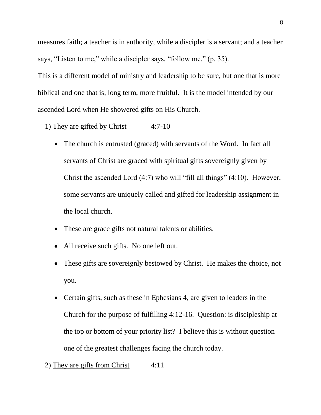measures faith; a teacher is in authority, while a discipler is a servant; and a teacher says, "Listen to me," while a discipler says, "follow me." (p. 35).

This is a different model of ministry and leadership to be sure, but one that is more biblical and one that is, long term, more fruitful. It is the model intended by our ascended Lord when He showered gifts on His Church.

- 1) They are gifted by Christ 4:7-10
	- The church is entrusted (graced) with servants of the Word. In fact all servants of Christ are graced with spiritual gifts sovereignly given by Christ the ascended Lord (4:7) who will "fill all things" (4:10). However, some servants are uniquely called and gifted for leadership assignment in the local church.
	- These are grace gifts not natural talents or abilities.
	- All receive such gifts. No one left out.
	- These gifts are sovereignly bestowed by Christ. He makes the choice, not  $\bullet$ you.
	- Certain gifts, such as these in Ephesians 4, are given to leaders in the Church for the purpose of fulfilling 4:12-16. Question: is discipleship at the top or bottom of your priority list? I believe this is without question one of the greatest challenges facing the church today.
- 2) They are gifts from Christ  $4:11$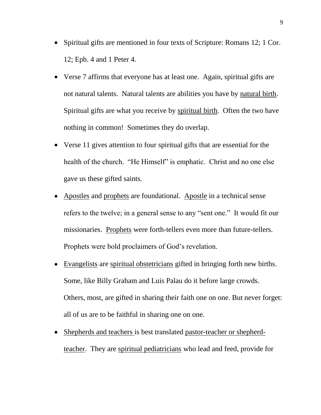- Spiritual gifts are mentioned in four texts of Scripture: Romans 12; 1 Cor. 12; Eph. 4 and 1 Peter 4.
- Verse 7 affirms that everyone has at least one. Again, spiritual gifts are not natural talents. Natural talents are abilities you have by natural birth. Spiritual gifts are what you receive by spiritual birth. Often the two have nothing in common! Sometimes they do overlap.
- Verse 11 gives attention to four spiritual gifts that are essential for the health of the church. "He Himself" is emphatic. Christ and no one else gave us these gifted saints.
- Apostles and prophets are foundational. Apostle in a technical sense refers to the twelve; in a general sense to any "sent one." It would fit our missionaries. Prophets were forth-tellers even more than future-tellers. Prophets were bold proclaimers of God's revelation.
- Evangelists are spiritual obstetricians gifted in bringing forth new births. Some, like Billy Graham and Luis Palau do it before large crowds. Others, most, are gifted in sharing their faith one on one. But never forget: all of us are to be faithful in sharing one on one.
- Shepherds and teachers is best translated pastor-teacher or shepherdteacher. They are spiritual pediatricians who lead and feed, provide for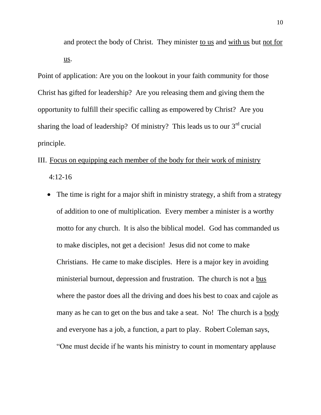and protect the body of Christ. They minister to us and with us but not for us.

Point of application: Are you on the lookout in your faith community for those Christ has gifted for leadership? Are you releasing them and giving them the opportunity to fulfill their specific calling as empowered by Christ? Are you sharing the load of leadership? Of ministry? This leads us to our  $3<sup>rd</sup>$  crucial principle.

- III. Focus on equipping each member of the body for their work of ministry 4:12-16
	- The time is right for a major shift in ministry strategy, a shift from a strategy of addition to one of multiplication. Every member a minister is a worthy motto for any church. It is also the biblical model. God has commanded us to make disciples, not get a decision! Jesus did not come to make Christians. He came to make disciples. Here is a major key in avoiding ministerial burnout, depression and frustration. The church is not a bus where the pastor does all the driving and does his best to coax and cajole as many as he can to get on the bus and take a seat. No! The church is a body and everyone has a job, a function, a part to play. Robert Coleman says, "One must decide if he wants his ministry to count in momentary applause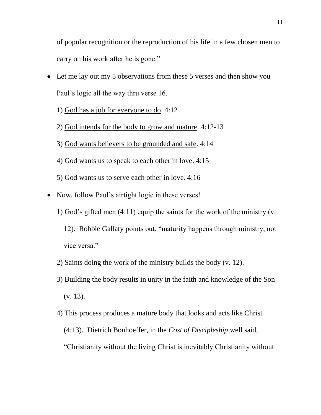of popular recognition or the reproduction of his life in a few chosen men to carry on his work after he is gone."

- Let me lay out my 5 observations from these 5 verses and then show you Paul's logic all the way thru verse 16.
	- 1) God has a job for everyone to do. 4:12
	- 2) God intends for the body to grow and mature. 4:12-13
	- 3) God wants believers to be grounded and safe. 4:14
	- 4) God wants us to speak to each other in love. 4:15
	- 5) God wants us to serve each other in love. 4:16
- Now, follow Paul's airtight logic in these verses!
	- 1) God's gifted men (4:11) equip the saints for the work of the ministry (v.
		- 12). Robbie Gallaty points out, "maturity happens through ministry, not vice versa."
	- 2) Saints doing the work of the ministry builds the body (v. 12).
	- 3) Building the body results in unity in the faith and knowledge of the Son (v. 13).
	- 4) This process produces a mature body that looks and acts like Christ (4:13). Dietrich Bonhoeffer, in the *Cost of Discipleship* well said, "Christianity without the living Christ is inevitably Christianity without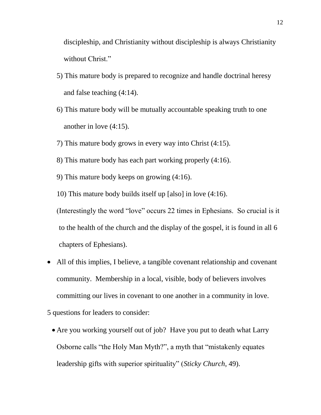discipleship, and Christianity without discipleship is always Christianity without Christ."

- 5) This mature body is prepared to recognize and handle doctrinal heresy and false teaching (4:14).
- 6) This mature body will be mutually accountable speaking truth to one another in love (4:15).
- 7) This mature body grows in every way into Christ (4:15).
- 8) This mature body has each part working properly (4:16).
- 9) This mature body keeps on growing (4:16).

10) This mature body builds itself up [also] in love (4:16).

(Interestingly the word "love" occurs 22 times in Ephesians. So crucial is it to the health of the church and the display of the gospel, it is found in all 6 chapters of Ephesians).

- All of this implies, I believe, a tangible covenant relationship and covenant community. Membership in a local, visible, body of believers involves committing our lives in covenant to one another in a community in love.
- 5 questions for leaders to consider:
	- Are you working yourself out of job? Have you put to death what Larry Osborne calls "the Holy Man Myth?", a myth that "mistakenly equates leadership gifts with superior spirituality" (*Sticky Church*, 49).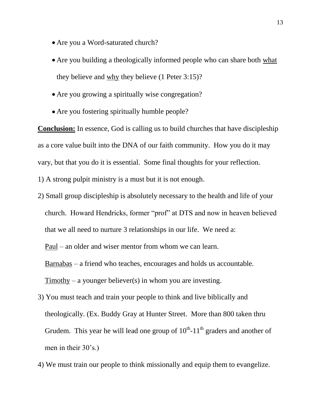- Are you a Word-saturated church?
- Are you building a theologically informed people who can share both what they believe and why they believe (1 Peter 3:15)?
- Are you growing a spiritually wise congregation?
- Are you fostering spiritually humble people?

**Conclusion:** In essence, God is calling us to build churches that have discipleship as a core value built into the DNA of our faith community. How you do it may vary, but that you do it is essential. Some final thoughts for your reflection.

1) A strong pulpit ministry is a must but it is not enough.

2) Small group discipleship is absolutely necessary to the health and life of your church. Howard Hendricks, former "prof" at DTS and now in heaven believed that we all need to nurture 3 relationships in our life. We need a:

Paul – an older and wiser mentor from whom we can learn.

Barnabas – a friend who teaches, encourages and holds us accountable.

Timothy – a younger believer(s) in whom you are investing.

- 3) You must teach and train your people to think and live biblically and theologically. (Ex. Buddy Gray at Hunter Street. More than 800 taken thru Grudem. This year he will lead one group of  $10^{th}$ - $11^{th}$  graders and another of men in their 30's.)
- 4) We must train our people to think missionally and equip them to evangelize.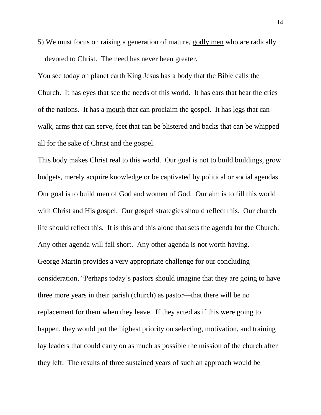5) We must focus on raising a generation of mature, godly men who are radically devoted to Christ. The need has never been greater.

You see today on planet earth King Jesus has a body that the Bible calls the Church. It has eyes that see the needs of this world. It has ears that hear the cries of the nations. It has a mouth that can proclaim the gospel. It has legs that can walk, arms that can serve, feet that can be blistered and backs that can be whipped all for the sake of Christ and the gospel.

This body makes Christ real to this world. Our goal is not to build buildings, grow budgets, merely acquire knowledge or be captivated by political or social agendas. Our goal is to build men of God and women of God. Our aim is to fill this world with Christ and His gospel. Our gospel strategies should reflect this. Our church life should reflect this. It is this and this alone that sets the agenda for the Church. Any other agenda will fall short. Any other agenda is not worth having. George Martin provides a very appropriate challenge for our concluding consideration, "Perhaps today's pastors should imagine that they are going to have three more years in their parish (church) as pastor—that there will be no replacement for them when they leave. If they acted as if this were going to happen, they would put the highest priority on selecting, motivation, and training lay leaders that could carry on as much as possible the mission of the church after they left. The results of three sustained years of such an approach would be